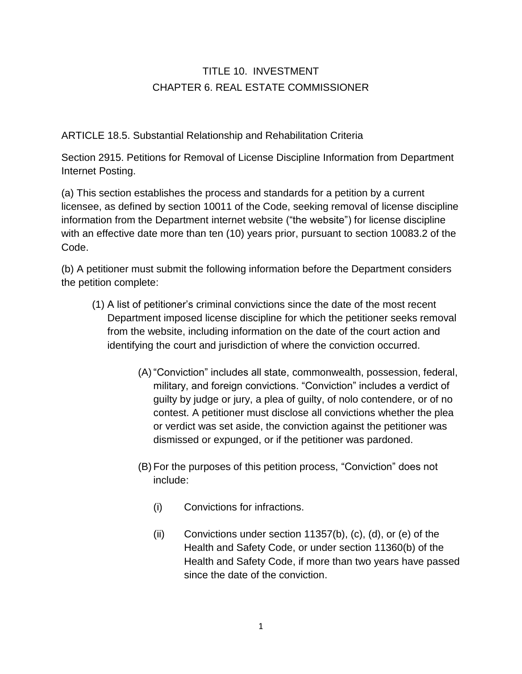## TITLE 10. INVESTMENT CHAPTER 6. REAL ESTATE COMMISSIONER

## ARTICLE 18.5. Substantial Relationship and Rehabilitation Criteria

Section 2915. Petitions for Removal of License Discipline Information from Department Internet Posting.

(a) This section establishes the process and standards for a petition by a current licensee, as defined by section 10011 of the Code, seeking removal of license discipline information from the Department internet website ("the website") for license discipline with an effective date more than ten (10) years prior, pursuant to section 10083.2 of the Code.

(b) A petitioner must submit the following information before the Department considers the petition complete:

- (1) A list of petitioner's criminal convictions since the date of the most recent Department imposed license discipline for which the petitioner seeks removal from the website, including information on the date of the court action and identifying the court and jurisdiction of where the conviction occurred.
	- (A) "Conviction" includes all state, commonwealth, possession, federal, military, and foreign convictions. "Conviction" includes a verdict of guilty by judge or jury, a plea of guilty, of nolo contendere, or of no contest. A petitioner must disclose all convictions whether the plea or verdict was set aside, the conviction against the petitioner was dismissed or expunged, or if the petitioner was pardoned.
	- (B) For the purposes of this petition process, "Conviction" does not include:
		- (i) Convictions for infractions.
		- (ii) Convictions under section 11357(b), (c), (d), or (e) of the Health and Safety Code, or under section 11360(b) of the Health and Safety Code, if more than two years have passed since the date of the conviction.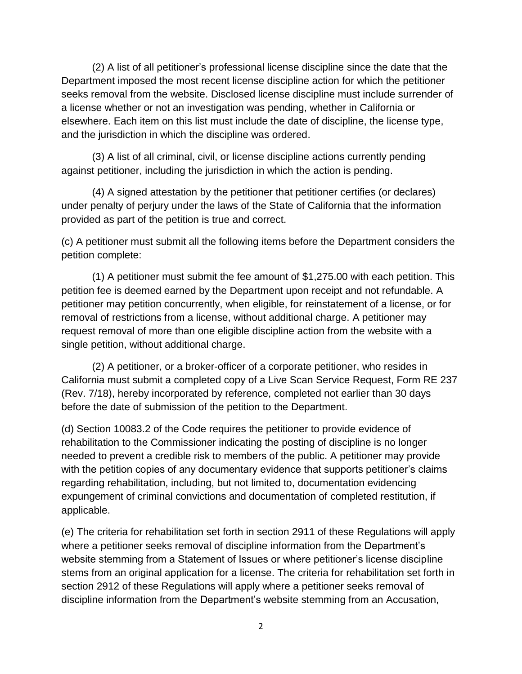(2) A list of all petitioner's professional license discipline since the date that the Department imposed the most recent license discipline action for which the petitioner seeks removal from the website. Disclosed license discipline must include surrender of a license whether or not an investigation was pending, whether in California or elsewhere. Each item on this list must include the date of discipline, the license type, and the jurisdiction in which the discipline was ordered.

(3) A list of all criminal, civil, or license discipline actions currently pending against petitioner, including the jurisdiction in which the action is pending.

(4) A signed attestation by the petitioner that petitioner certifies (or declares) under penalty of perjury under the laws of the State of California that the information provided as part of the petition is true and correct.

(c) A petitioner must submit all the following items before the Department considers the petition complete:

(1) A petitioner must submit the fee amount of \$1,275.00 with each petition. This petition fee is deemed earned by the Department upon receipt and not refundable. A petitioner may petition concurrently, when eligible, for reinstatement of a license, or for removal of restrictions from a license, without additional charge. A petitioner may request removal of more than one eligible discipline action from the website with a single petition, without additional charge.

(2) A petitioner, or a broker-officer of a corporate petitioner, who resides in California must submit a completed copy of a Live Scan Service Request, Form RE 237 (Rev. 7/18), hereby incorporated by reference, completed not earlier than 30 days before the date of submission of the petition to the Department.

(d) Section 10083.2 of the Code requires the petitioner to provide evidence of rehabilitation to the Commissioner indicating the posting of discipline is no longer needed to prevent a credible risk to members of the public. A petitioner may provide with the petition copies of any documentary evidence that supports petitioner's claims regarding rehabilitation, including, but not limited to, documentation evidencing expungement of criminal convictions and documentation of completed restitution, if applicable.

(e) The criteria for rehabilitation set forth in section 2911 of these Regulations will apply where a petitioner seeks removal of discipline information from the Department's website stemming from a Statement of Issues or where petitioner's license discipline stems from an original application for a license. The criteria for rehabilitation set forth in section 2912 of these Regulations will apply where a petitioner seeks removal of discipline information from the Department's website stemming from an Accusation,